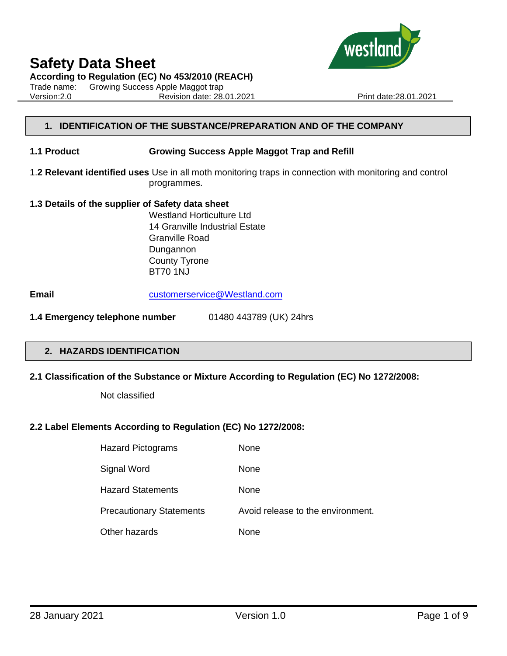

**According to Regulation (EC) No 453/2010 (REACH)**

Trade name: Growing Success Apple Maggot trap Version:2.0 Revision date: 28.01.2021 Print date:28.01.2021



#### **1. IDENTIFICATION OF THE SUBSTANCE/PREPARATION AND OF THE COMPANY**

#### **1.1 Product Growing Success Apple Maggot Trap and Refill**

1.**2 Relevant identified uses** Use in all moth monitoring traps in connection with monitoring and control programmes.

#### **1.3 Details of the supplier of Safety data sheet**

Westland Horticulture Ltd 14 Granville Industrial Estate Granville Road Dungannon County Tyrone BT70 1NJ

**Email** [customerservice@Westland.com](mailto:customerservice@Westland.com)

**1.4 Emergency telephone number** 01480 443789 (UK) 24hrs

#### **2. HAZARDS IDENTIFICATION**

#### **2.1 Classification of the Substance or Mixture According to Regulation (EC) No 1272/2008:**

Not classified

## **2.2 Label Elements According to Regulation (EC) No 1272/2008:**

| <b>Hazard Pictograms</b>        | None                              |
|---------------------------------|-----------------------------------|
| Signal Word                     | None                              |
| <b>Hazard Statements</b>        | None                              |
| <b>Precautionary Statements</b> | Avoid release to the environment. |
| Other hazards                   | None                              |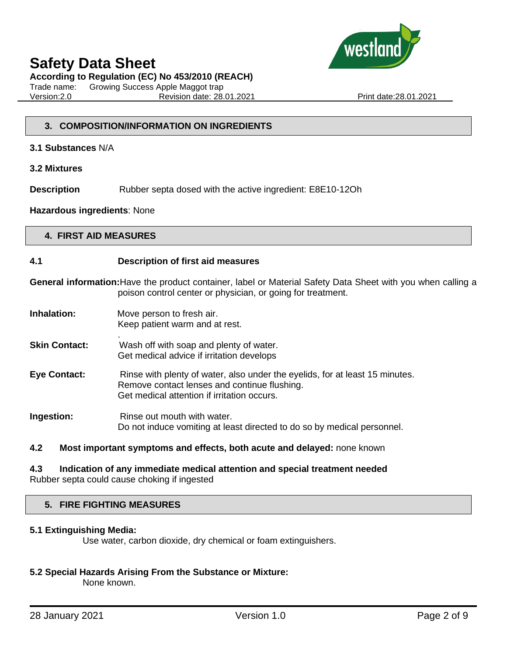

### **According to Regulation (EC) No 453/2010 (REACH)**

Trade name: Growing Success Apple Maggot trap Version:2.0 Revision date: 28.01.2021 Print date:28.01.2021

## **3. COMPOSITION/INFORMATION ON INGREDIENTS**

- **3.1 Substances** N/A
- **3.2 Mixtures**

**Description** Rubber septa dosed with the active ingredient: E8E10-12Oh

#### **Hazardous ingredients**: None

## **4. FIRST AID MEASURES**

#### **4.1 Description of first aid measures**

**General information:**Have the product container, label or Material Safety Data Sheet with you when calling a poison control center or physician, or going for treatment.

- **Inhalation:** Move person to fresh air.
	- Keep patient warm and at rest. .
- **Skin Contact:** Wash off with soap and plenty of water. Get medical advice if irritation develops
- **Eye Contact:** Rinse with plenty of water, also under the eyelids, for at least 15 minutes. Remove contact lenses and continue flushing. Get medical attention if irritation occurs.
- **Ingestion:** Rinse out mouth with water. Do not induce vomiting at least directed to do so by medical personnel.

## **4.2 Most important symptoms and effects, both acute and delayed:** none known

#### **4.3 Indication of any immediate medical attention and special treatment needed** Rubber septa could cause choking if ingested

## **5. FIRE FIGHTING MEASURES**

## **5.1 Extinguishing Media:**

Use water, carbon dioxide, dry chemical or foam extinguishers.

## **5.2 Special Hazards Arising From the Substance or Mixture:**

None known.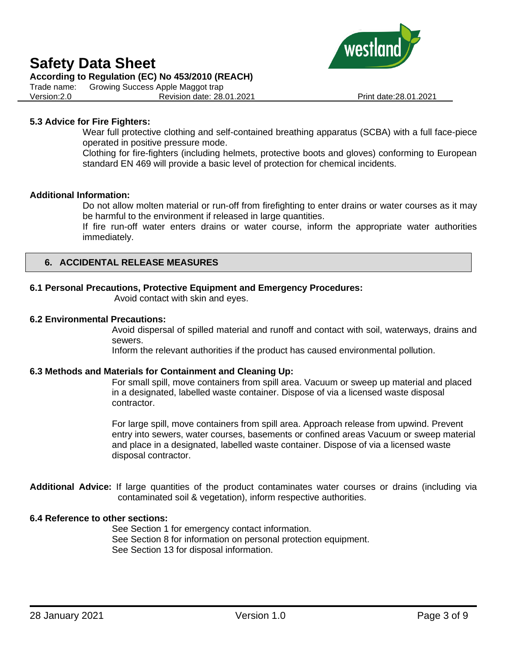### **According to Regulation (EC) No 453/2010 (REACH)**

Trade name: Growing Success Apple Maggot trap Version:2.0 Revision date: 28.01.2021 Print date:28.01.2021



Wear full protective clothing and self-contained breathing apparatus (SCBA) with a full face-piece operated in positive pressure mode.

Clothing for fire-fighters (including helmets, protective boots and gloves) conforming to European standard EN 469 will provide a basic level of protection for chemical incidents.

#### **Additional Information:**

Do not allow molten material or run-off from firefighting to enter drains or water courses as it may be harmful to the environment if released in large quantities.

If fire run-off water enters drains or water course, inform the appropriate water authorities immediately.

## **6. ACCIDENTAL RELEASE MEASURES**

#### **6.1 Personal Precautions, Protective Equipment and Emergency Procedures:**

Avoid contact with skin and eyes.

#### **6.2 Environmental Precautions:**

Avoid dispersal of spilled material and runoff and contact with soil, waterways, drains and sewers.

Inform the relevant authorities if the product has caused environmental pollution.

#### **6.3 Methods and Materials for Containment and Cleaning Up:**

For small spill, move containers from spill area. Vacuum or sweep up material and placed in a designated, labelled waste container. Dispose of via a licensed waste disposal contractor.

For large spill, move containers from spill area. Approach release from upwind. Prevent entry into sewers, water courses, basements or confined areas Vacuum or sweep material and place in a designated, labelled waste container. Dispose of via a licensed waste disposal contractor.

**Additional Advice:** If large quantities of the product contaminates water courses or drains (including via contaminated soil & vegetation), inform respective authorities.

#### **6.4 Reference to other sections:**

See Section 1 for emergency contact information. See Section 8 for information on personal protection equipment. See Section 13 for disposal information.

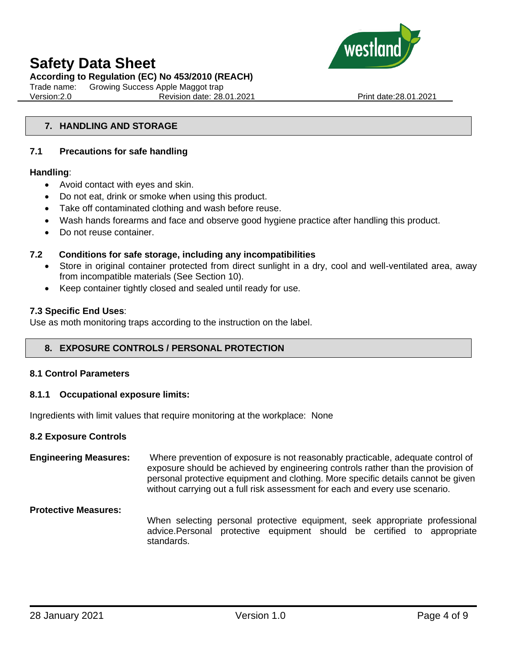

### **According to Regulation (EC) No 453/2010 (REACH)**

Trade name: Growing Success Apple Maggot trap Version:2.0 Revision date: 28.01.2021 Print date:28.01.2021

### **7. HANDLING AND STORAGE**

#### **7.1 Precautions for safe handling**

#### **Handling**:

- Avoid contact with eyes and skin.
- Do not eat, drink or smoke when using this product.
- Take off contaminated clothing and wash before reuse.
- Wash hands forearms and face and observe good hygiene practice after handling this product.
- Do not reuse container.

#### **7.2 Conditions for safe storage, including any incompatibilities**

- Store in original container protected from direct sunlight in a dry, cool and well-ventilated area, away from incompatible materials (See Section 10).
- Keep container tightly closed and sealed until ready for use.

#### **7.3 Specific End Uses**:

Use as moth monitoring traps according to the instruction on the label.

## **8. EXPOSURE CONTROLS / PERSONAL PROTECTION**

#### **8.1 Control Parameters**

#### **8.1.1 Occupational exposure limits:**

Ingredients with limit values that require monitoring at the workplace: None

#### **8.2 Exposure Controls**

**Engineering Measures:** Where prevention of exposure is not reasonably practicable, adequate control of exposure should be achieved by engineering controls rather than the provision of personal protective equipment and clothing. More specific details cannot be given without carrying out a full risk assessment for each and every use scenario.

#### **Protective Measures:**

When selecting personal protective equipment, seek appropriate professional advice.Personal protective equipment should be certified to appropriate standards.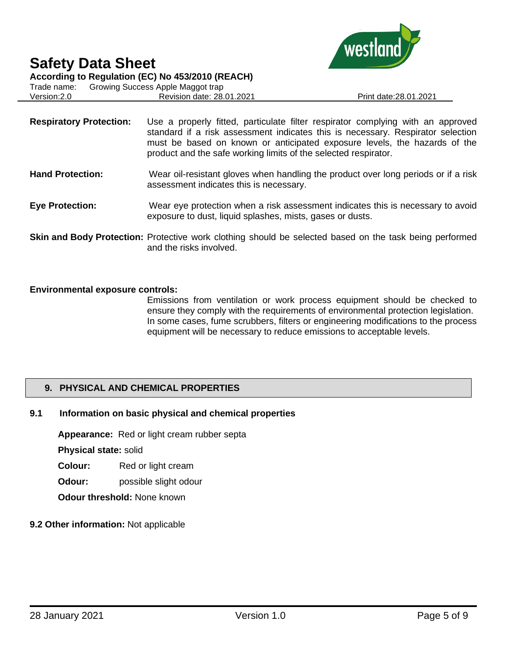

**According to Regulation (EC) No 453/2010 (REACH)**

Trade name: Growing Success Apple Maggot trap Version:2.0 Revision date: 28.01.2021 Print date:28.01.2021

- **Respiratory Protection:** Use a properly fitted, particulate filter respirator complying with an approved standard if a risk assessment indicates this is necessary. Respirator selection must be based on known or anticipated exposure levels, the hazards of the product and the safe working limits of the selected respirator.
- **Hand Protection:** Wear oil-resistant gloves when handling the product over long periods or if a risk assessment indicates this is necessary.
- **Eye Protection:** Wear eye protection when a risk assessment indicates this is necessary to avoid exposure to dust, liquid splashes, mists, gases or dusts.
- **Skin and Body Protection:** Protective work clothing should be selected based on the task being performed and the risks involved.

## **Environmental exposure controls:**

Emissions from ventilation or work process equipment should be checked to ensure they comply with the requirements of environmental protection legislation. In some cases, fume scrubbers, filters or engineering modifications to the process equipment will be necessary to reduce emissions to acceptable levels.

## **9. PHYSICAL AND CHEMICAL PROPERTIES**

## **9.1 Information on basic physical and chemical properties**

**Appearance:** Red or light cream rubber septa

**Physical state:** solid

**Colour:** Red or light cream

**Odour:** possible slight odour

**Odour threshold:** None known

## **9.2 Other information:** Not applicable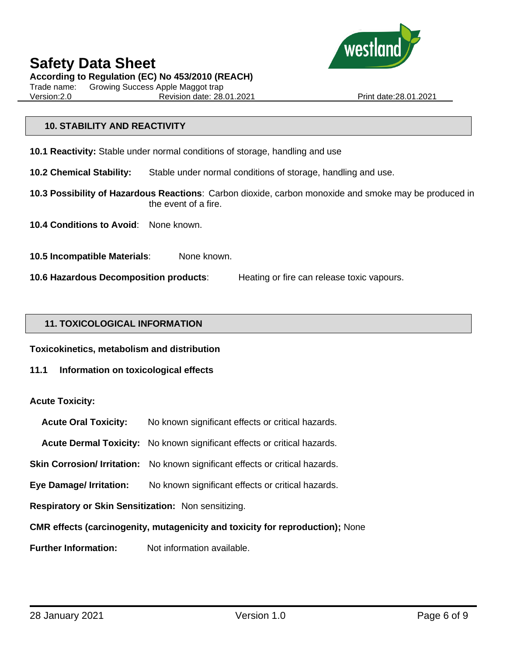

**According to Regulation (EC) No 453/2010 (REACH)**

Trade name: Growing Success Apple Maggot trap Version:2.0 Revision date: 28.01.2021 Print date:28.01.2021

## **10. STABILITY AND REACTIVITY**

- **10.1 Reactivity:** Stable under normal conditions of storage, handling and use
- **10.2 Chemical Stability:** Stable under normal conditions of storage, handling and use.
- **10.3 Possibility of Hazardous Reactions**: Carbon dioxide, carbon monoxide and smoke may be produced in the event of a fire.
- **10.4 Conditions to Avoid**: None known.
- **10.5 Incompatible Materials**: None known.
- **10.6 Hazardous Decomposition products**: Heating or fire can release toxic vapours.

#### **11. TOXICOLOGICAL INFORMATION**

**Toxicokinetics, metabolism and distribution**

**11.1 Information on toxicological effects**

## **Acute Toxicity:**

- **Acute Oral Toxicity:** No known significant effects or critical hazards.
- **Acute Dermal Toxicity:** No known significant effects or critical hazards.
- **Skin Corrosion/ Irritation:** No known significant effects or critical hazards.
- **Eye Damage/ Irritation:** No known significant effects or critical hazards.
- **Respiratory or Skin Sensitization:** Non sensitizing.

**CMR effects (carcinogenity, mutagenicity and toxicity for reproduction);** None

**Further Information:** Not information available.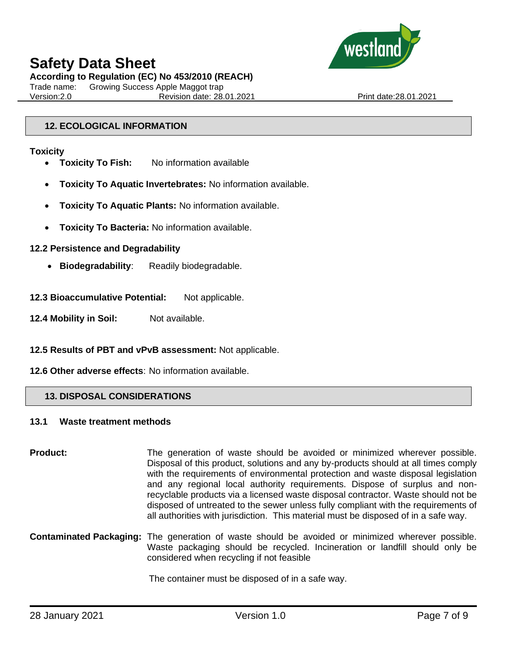

**According to Regulation (EC) No 453/2010 (REACH)**

Trade name: Growing Success Apple Maggot trap Version:2.0 Revision date: 28.01.2021 Print date:28.01.2021

## **12. ECOLOGICAL INFORMATION**

### **Toxicity**

- **Toxicity To Fish:** No information available
- **Toxicity To Aquatic Invertebrates:** No information available.
- **Toxicity To Aquatic Plants:** No information available.
- **Toxicity To Bacteria:** No information available.

## **12.2 Persistence and Degradability**

- **Biodegradability**: Readily biodegradable.
- 12.3 Bioaccumulative Potential: Not applicable.
- **12.4 Mobility in Soil:** Not available.

## **12.5 Results of PBT and vPvB assessment:** Not applicable.

## **12.6 Other adverse effects**: No information available.

## **13. DISPOSAL CONSIDERATIONS**

## **13.1 Waste treatment methods**

**Product:** The generation of waste should be avoided or minimized wherever possible. Disposal of this product, solutions and any by-products should at all times comply with the requirements of environmental protection and waste disposal legislation and any regional local authority requirements. Dispose of surplus and nonrecyclable products via a licensed waste disposal contractor. Waste should not be disposed of untreated to the sewer unless fully compliant with the requirements of all authorities with jurisdiction. This material must be disposed of in a safe way.

**Contaminated Packaging:** The generation of waste should be avoided or minimized wherever possible. Waste packaging should be recycled. Incineration or landfill should only be considered when recycling if not feasible

The container must be disposed of in a safe way.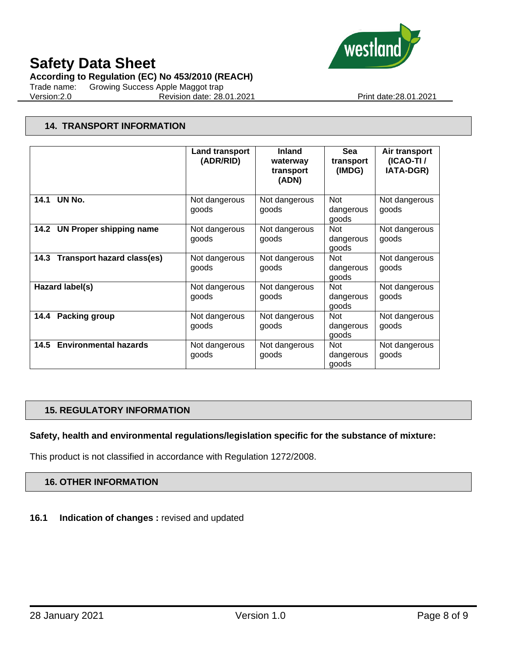

**According to Regulation (EC) No 453/2010 (REACH)**

Trade name: Growing Success Apple Maggot trap Version:2.0 Revision date: 28.01.2021 Print date:28.01.2021

## **14. TRANSPORT INFORMATION**

|                                           | <b>Land transport</b><br>(ADR/RID) | <b>Inland</b><br>waterway<br>transport<br>(ADN) | Sea<br>transport<br>(IMDG)       | Air transport<br>(ICAO-TI/<br><b>IATA-DGR)</b> |
|-------------------------------------------|------------------------------------|-------------------------------------------------|----------------------------------|------------------------------------------------|
| UN No.<br>14.1                            | Not dangerous<br>goods             | Not dangerous<br>goods                          | <b>Not</b><br>dangerous<br>goods | Not dangerous<br>goods                         |
| 14.2<br><b>UN Proper shipping name</b>    | Not dangerous<br>goods             | Not dangerous<br>goods                          | <b>Not</b><br>dangerous<br>goods | Not dangerous<br>goods                         |
| <b>Transport hazard class(es)</b><br>14.3 | Not dangerous<br>goods             | Not dangerous<br>goods                          | <b>Not</b><br>dangerous<br>goods | Not dangerous<br>goods                         |
| Hazard label(s)                           | Not dangerous<br>goods             | Not dangerous<br>goods                          | <b>Not</b><br>dangerous<br>goods | Not dangerous<br>goods                         |
| <b>Packing group</b><br>14.4              | Not dangerous<br>goods             | Not dangerous<br>goods                          | Not<br>dangerous<br>goods        | Not dangerous<br>goods                         |
| <b>Environmental hazards</b><br>14.5      | Not dangerous<br>goods             | Not dangerous<br>goods                          | Not<br>dangerous<br>goods        | Not dangerous<br>goods                         |

## **15. REGULATORY INFORMATION**

**Safety, health and environmental regulations/legislation specific for the substance of mixture:**

This product is not classified in accordance with Regulation 1272/2008.

## **16. OTHER INFORMATION**

**16.1 Indication of changes :** revised and updated